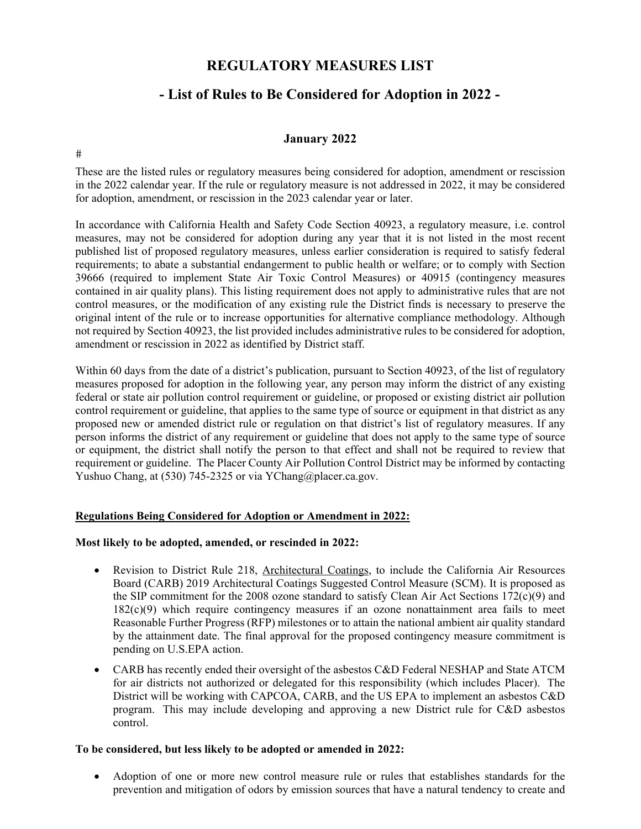## **REGULATORY MEASURES LIST**

# **- List of Rules to Be Considered for Adoption in 2022 -**

## **January 2022**

 $#$ 

These are the listed rules or regulatory measures being considered for adoption, amendment or rescission in the 2022 calendar year. If the rule or regulatory measure is not addressed in 2022, it may be considered for adoption, amendment, or rescission in the 2023 calendar year or later.

In accordance with California Health and Safety Code Section 40923, a regulatory measure, i.e. control measures, may not be considered for adoption during any year that it is not listed in the most recent published list of proposed regulatory measures, unless earlier consideration is required to satisfy federal requirements; to abate a substantial endangerment to public health or welfare; or to comply with Section 39666 (required to implement State Air Toxic Control Measures) or 40915 (contingency measures contained in air quality plans). This listing requirement does not apply to administrative rules that are not control measures, or the modification of any existing rule the District finds is necessary to preserve the original intent of the rule or to increase opportunities for alternative compliance methodology. Although not required by Section 40923, the list provided includes administrative rules to be considered for adoption, amendment or rescission in 2022 as identified by District staff.

Within 60 days from the date of a district's publication, pursuant to Section 40923, of the list of regulatory measures proposed for adoption in the following year, any person may inform the district of any existing federal or state air pollution control requirement or guideline, or proposed or existing district air pollution control requirement or guideline, that applies to the same type of source or equipment in that district as any proposed new or amended district rule or regulation on that district's list of regulatory measures. If any person informs the district of any requirement or guideline that does not apply to the same type of source or equipment, the district shall notify the person to that effect and shall not be required to review that requirement or guideline. The Placer County Air Pollution Control District may be informed by contacting Yushuo Chang, at (530) 745-2325 or via YChang@placer.ca.gov.

#### **Regulations Being Considered for Adoption or Amendment in 2022:**

#### **Most likely to be adopted, amended, or rescinded in 2022:**

- Revision to District Rule 218, Architectural Coatings, to include the California Air Resources Board (CARB) 2019 Architectural Coatings Suggested Control Measure (SCM). It is proposed as the SIP commitment for the 2008 ozone standard to satisfy Clean Air Act Sections 172(c)(9) and 182(c)(9) which require contingency measures if an ozone nonattainment area fails to meet Reasonable Further Progress (RFP) milestones or to attain the national ambient air quality standard by the attainment date. The final approval for the proposed contingency measure commitment is pending on U.S.EPA action.
- CARB has recently ended their oversight of the asbestos C&D Federal NESHAP and State ATCM for air districts not authorized or delegated for this responsibility (which includes Placer). The District will be working with CAPCOA, CARB, and the US EPA to implement an asbestos C&D program. This may include developing and approving a new District rule for C&D asbestos control.

#### **To be considered, but less likely to be adopted or amended in 2022:**

 Adoption of one or more new control measure rule or rules that establishes standards for the prevention and mitigation of odors by emission sources that have a natural tendency to create and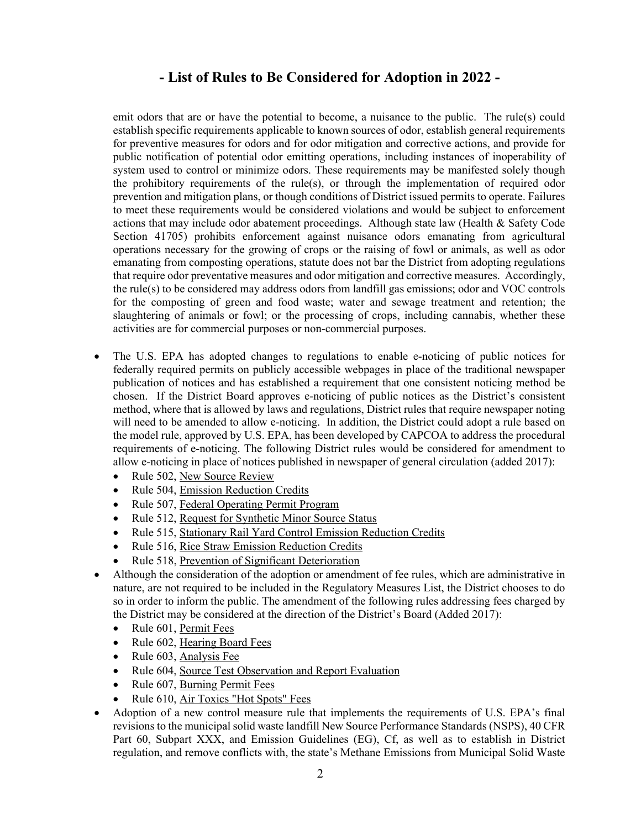emit odors that are or have the potential to become, a nuisance to the public. The rule(s) could establish specific requirements applicable to known sources of odor, establish general requirements for preventive measures for odors and for odor mitigation and corrective actions, and provide for public notification of potential odor emitting operations, including instances of inoperability of system used to control or minimize odors. These requirements may be manifested solely though the prohibitory requirements of the rule(s), or through the implementation of required odor prevention and mitigation plans, or though conditions of District issued permits to operate. Failures to meet these requirements would be considered violations and would be subject to enforcement actions that may include odor abatement proceedings. Although state law (Health & Safety Code Section 41705) prohibits enforcement against nuisance odors emanating from agricultural operations necessary for the growing of crops or the raising of fowl or animals, as well as odor emanating from composting operations, statute does not bar the District from adopting regulations that require odor preventative measures and odor mitigation and corrective measures. Accordingly, the rule(s) to be considered may address odors from landfill gas emissions; odor and VOC controls for the composting of green and food waste; water and sewage treatment and retention; the slaughtering of animals or fowl; or the processing of crops, including cannabis, whether these activities are for commercial purposes or non-commercial purposes.

- The U.S. EPA has adopted changes to regulations to enable e-noticing of public notices for federally required permits on publicly accessible webpages in place of the traditional newspaper publication of notices and has established a requirement that one consistent noticing method be chosen. If the District Board approves e-noticing of public notices as the District's consistent method, where that is allowed by laws and regulations, District rules that require newspaper noting will need to be amended to allow e-noticing. In addition, the District could adopt a rule based on the model rule, approved by U.S. EPA, has been developed by CAPCOA to address the procedural requirements of e-noticing. The following District rules would be considered for amendment to allow e-noticing in place of notices published in newspaper of general circulation (added 2017):
	- Rule 502, New Source Review
	- Rule 504, Emission Reduction Credits
	- Rule 507, Federal Operating Permit Program
	- Rule 512, Request for Synthetic Minor Source Status
	- Rule 515, Stationary Rail Yard Control Emission Reduction Credits
	- Rule 516, Rice Straw Emission Reduction Credits
	- Rule 518, Prevention of Significant Deterioration
- Although the consideration of the adoption or amendment of fee rules, which are administrative in nature, are not required to be included in the Regulatory Measures List, the District chooses to do so in order to inform the public. The amendment of the following rules addressing fees charged by the District may be considered at the direction of the District's Board (Added 2017):
	- Rule 601, Permit Fees
	- Rule 602, Hearing Board Fees
	- Rule 603, Analysis Fee
	- Rule 604, Source Test Observation and Report Evaluation
	- Rule 607, Burning Permit Fees
	- Rule 610, Air Toxics "Hot Spots" Fees
- Adoption of a new control measure rule that implements the requirements of U.S. EPA's final revisions to the municipal solid waste landfill New Source Performance Standards (NSPS), 40 CFR Part 60, Subpart XXX, and Emission Guidelines (EG), Cf, as well as to establish in District regulation, and remove conflicts with, the state's Methane Emissions from Municipal Solid Waste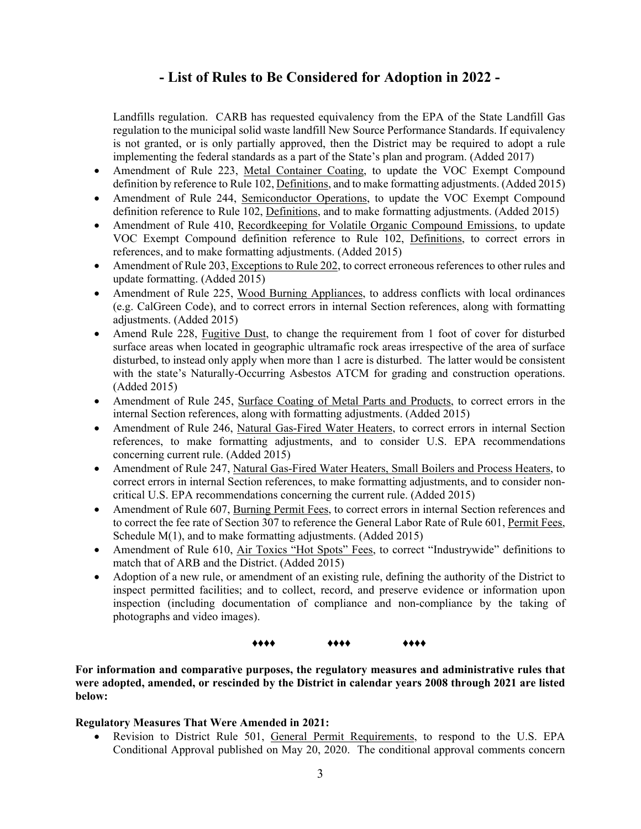Landfills regulation. CARB has requested equivalency from the EPA of the State Landfill Gas regulation to the municipal solid waste landfill New Source Performance Standards. If equivalency is not granted, or is only partially approved, then the District may be required to adopt a rule implementing the federal standards as a part of the State's plan and program. (Added 2017)

- Amendment of Rule 223, Metal Container Coating, to update the VOC Exempt Compound definition by reference to Rule 102, Definitions, and to make formatting adjustments. (Added 2015)
- Amendment of Rule 244, Semiconductor Operations, to update the VOC Exempt Compound definition reference to Rule 102, Definitions, and to make formatting adjustments. (Added 2015)
- Amendment of Rule 410, Recordkeeping for Volatile Organic Compound Emissions, to update VOC Exempt Compound definition reference to Rule 102, Definitions, to correct errors in references, and to make formatting adjustments. (Added 2015)
- Amendment of Rule 203, Exceptions to Rule 202, to correct erroneous references to other rules and update formatting. (Added 2015)
- Amendment of Rule 225, Wood Burning Appliances, to address conflicts with local ordinances (e.g. CalGreen Code), and to correct errors in internal Section references, along with formatting adjustments. (Added 2015)
- Amend Rule 228, Fugitive Dust, to change the requirement from 1 foot of cover for disturbed surface areas when located in geographic ultramafic rock areas irrespective of the area of surface disturbed, to instead only apply when more than 1 acre is disturbed. The latter would be consistent with the state's Naturally-Occurring Asbestos ATCM for grading and construction operations. (Added 2015)
- Amendment of Rule 245, Surface Coating of Metal Parts and Products, to correct errors in the internal Section references, along with formatting adjustments. (Added 2015)
- Amendment of Rule 246, Natural Gas-Fired Water Heaters, to correct errors in internal Section references, to make formatting adjustments, and to consider U.S. EPA recommendations concerning current rule. (Added 2015)
- Amendment of Rule 247, Natural Gas-Fired Water Heaters, Small Boilers and Process Heaters, to correct errors in internal Section references, to make formatting adjustments, and to consider noncritical U.S. EPA recommendations concerning the current rule. (Added 2015)
- Amendment of Rule 607, Burning Permit Fees, to correct errors in internal Section references and to correct the fee rate of Section 307 to reference the General Labor Rate of Rule 601, Permit Fees, Schedule M(1), and to make formatting adjustments. (Added 2015)
- Amendment of Rule 610, Air Toxics "Hot Spots" Fees, to correct "Industrywide" definitions to match that of ARB and the District. (Added 2015)
- Adoption of a new rule, or amendment of an existing rule, defining the authority of the District to inspect permitted facilities; and to collect, record, and preserve evidence or information upon inspection (including documentation of compliance and non-compliance by the taking of photographs and video images).

♦♦♦♦ ♦♦♦♦ ♦♦♦♦

**For information and comparative purposes, the regulatory measures and administrative rules that were adopted, amended, or rescinded by the District in calendar years 2008 through 2021 are listed below:** 

#### **Regulatory Measures That Were Amended in 2021:**

• Revision to District Rule 501, General Permit Requirements, to respond to the U.S. EPA Conditional Approval published on May 20, 2020. The conditional approval comments concern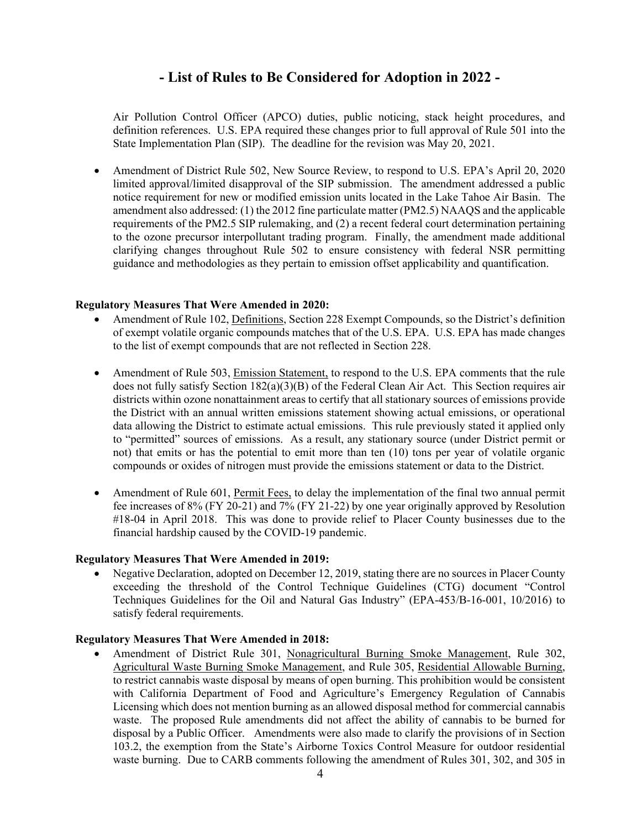Air Pollution Control Officer (APCO) duties, public noticing, stack height procedures, and definition references. U.S. EPA required these changes prior to full approval of Rule 501 into the State Implementation Plan (SIP). The deadline for the revision was May 20, 2021.

 Amendment of District Rule 502, New Source Review, to respond to U.S. EPA's April 20, 2020 limited approval/limited disapproval of the SIP submission. The amendment addressed a public notice requirement for new or modified emission units located in the Lake Tahoe Air Basin. The amendment also addressed: (1) the 2012 fine particulate matter (PM2.5) NAAQS and the applicable requirements of the PM2.5 SIP rulemaking, and (2) a recent federal court determination pertaining to the ozone precursor interpollutant trading program. Finally, the amendment made additional clarifying changes throughout Rule 502 to ensure consistency with federal NSR permitting guidance and methodologies as they pertain to emission offset applicability and quantification.

#### **Regulatory Measures That Were Amended in 2020:**

- Amendment of Rule 102, Definitions, Section 228 Exempt Compounds, so the District's definition of exempt volatile organic compounds matches that of the U.S. EPA. U.S. EPA has made changes to the list of exempt compounds that are not reflected in Section 228.
- Amendment of Rule 503, Emission Statement, to respond to the U.S. EPA comments that the rule does not fully satisfy Section 182(a)(3)(B) of the Federal Clean Air Act. This Section requires air districts within ozone nonattainment areas to certify that all stationary sources of emissions provide the District with an annual written emissions statement showing actual emissions, or operational data allowing the District to estimate actual emissions. This rule previously stated it applied only to "permitted" sources of emissions. As a result, any stationary source (under District permit or not) that emits or has the potential to emit more than ten (10) tons per year of volatile organic compounds or oxides of nitrogen must provide the emissions statement or data to the District.
- Amendment of Rule 601, Permit Fees, to delay the implementation of the final two annual permit fee increases of 8% (FY 20-21) and 7% (FY 21-22) by one year originally approved by Resolution #18-04 in April 2018. This was done to provide relief to Placer County businesses due to the financial hardship caused by the COVID-19 pandemic.

#### **Regulatory Measures That Were Amended in 2019:**

 Negative Declaration, adopted on December 12, 2019, stating there are no sources in Placer County exceeding the threshold of the Control Technique Guidelines (CTG) document "Control Techniques Guidelines for the Oil and Natural Gas Industry" (EPA-453/B-16-001, 10/2016) to satisfy federal requirements.

#### **Regulatory Measures That Were Amended in 2018:**

 Amendment of District Rule 301, Nonagricultural Burning Smoke Management, Rule 302, Agricultural Waste Burning Smoke Management, and Rule 305, Residential Allowable Burning, to restrict cannabis waste disposal by means of open burning. This prohibition would be consistent with California Department of Food and Agriculture's Emergency Regulation of Cannabis Licensing which does not mention burning as an allowed disposal method for commercial cannabis waste. The proposed Rule amendments did not affect the ability of cannabis to be burned for disposal by a Public Officer. Amendments were also made to clarify the provisions of in Section 103.2, the exemption from the State's Airborne Toxics Control Measure for outdoor residential waste burning. Due to CARB comments following the amendment of Rules 301, 302, and 305 in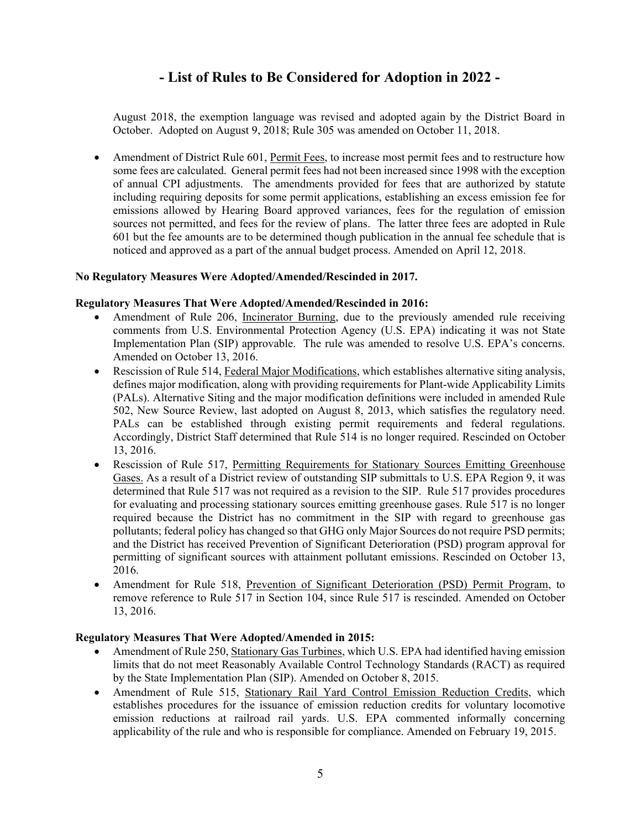August 2018, the exemption language was revised and adopted again by the District Board in October. Adopted on August 9, 2018; Rule 305 was amended on October 11, 2018.

 Amendment of District Rule 601, Permit Fees, to increase most permit fees and to restructure how some fees are calculated. General permit fees had not been increased since 1998 with the exception of annual CPI adjustments. The amendments provided for fees that are authorized by statute including requiring deposits for some permit applications, establishing an excess emission fee for emissions allowed by Hearing Board approved variances, fees for the regulation of emission sources not permitted, and fees for the review of plans. The latter three fees are adopted in Rule 601 but the fee amounts are to be determined though publication in the annual fee schedule that is noticed and approved as a part of the annual budget process. Amended on April 12, 2018.

#### **No Regulatory Measures Were Adopted/Amended/Rescinded in 2017.**

#### **Regulatory Measures That Were Adopted/Amended/Rescinded in 2016:**

- Amendment of Rule 206, Incinerator Burning, due to the previously amended rule receiving comments from U.S. Environmental Protection Agency (U.S. EPA) indicating it was not State Implementation Plan (SIP) approvable. The rule was amended to resolve U.S. EPA's concerns. Amended on October 13, 2016.
- Rescission of Rule 514, Federal Major Modifications, which establishes alternative siting analysis, defines major modification, along with providing requirements for Plant-wide Applicability Limits (PALs). Alternative Siting and the major modification definitions were included in amended Rule 502, New Source Review, last adopted on August 8, 2013, which satisfies the regulatory need. PALs can be established through existing permit requirements and federal regulations. Accordingly, District Staff determined that Rule 514 is no longer required. Rescinded on October 13, 2016.
- Rescission of Rule 517, Permitting Requirements for Stationary Sources Emitting Greenhouse Gases. As a result of a District review of outstanding SIP submittals to U.S. EPA Region 9, it was determined that Rule 517 was not required as a revision to the SIP. Rule 517 provides procedures for evaluating and processing stationary sources emitting greenhouse gases. Rule 517 is no longer required because the District has no commitment in the SIP with regard to greenhouse gas pollutants; federal policy has changed so that GHG only Major Sources do not require PSD permits; and the District has received Prevention of Significant Deterioration (PSD) program approval for permitting of significant sources with attainment pollutant emissions. Rescinded on October 13, 2016.
- Amendment for Rule 518, Prevention of Significant Deterioration (PSD) Permit Program, to remove reference to Rule 517 in Section 104, since Rule 517 is rescinded. Amended on October 13, 2016.

#### **Regulatory Measures That Were Adopted/Amended in 2015:**

- Amendment of Rule 250, Stationary Gas Turbines, which U.S. EPA had identified having emission limits that do not meet Reasonably Available Control Technology Standards (RACT) as required by the State Implementation Plan (SIP). Amended on October 8, 2015.
- Amendment of Rule 515, Stationary Rail Yard Control Emission Reduction Credits, which establishes procedures for the issuance of emission reduction credits for voluntary locomotive emission reductions at railroad rail yards. U.S. EPA commented informally concerning applicability of the rule and who is responsible for compliance. Amended on February 19, 2015.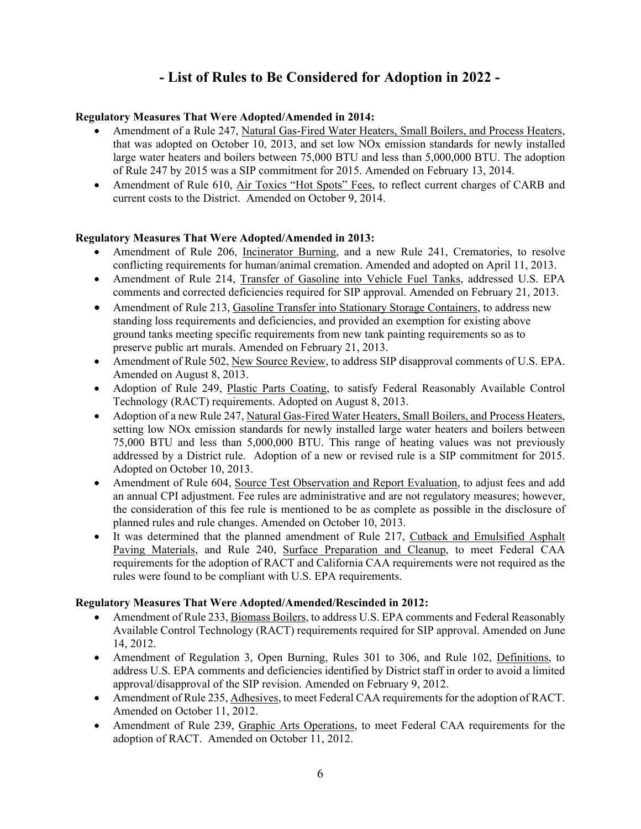### **Regulatory Measures That Were Adopted/Amended in 2014:**

- Amendment of a Rule 247, Natural Gas-Fired Water Heaters, Small Boilers, and Process Heaters, that was adopted on October 10, 2013, and set low NOx emission standards for newly installed large water heaters and boilers between 75,000 BTU and less than 5,000,000 BTU. The adoption of Rule 247 by 2015 was a SIP commitment for 2015. Amended on February 13, 2014.
- Amendment of Rule 610, Air Toxics "Hot Spots" Fees, to reflect current charges of CARB and current costs to the District. Amended on October 9, 2014.

#### **Regulatory Measures That Were Adopted/Amended in 2013:**

- Amendment of Rule 206, Incinerator Burning, and a new Rule 241, Crematories, to resolve conflicting requirements for human/animal cremation. Amended and adopted on April 11, 2013.
- Amendment of Rule 214, Transfer of Gasoline into Vehicle Fuel Tanks, addressed U.S. EPA comments and corrected deficiencies required for SIP approval. Amended on February 21, 2013.
- Amendment of Rule 213, Gasoline Transfer into Stationary Storage Containers, to address new standing loss requirements and deficiencies, and provided an exemption for existing above ground tanks meeting specific requirements from new tank painting requirements so as to preserve public art murals. Amended on February 21, 2013.
- Amendment of Rule 502, New Source Review, to address SIP disapproval comments of U.S. EPA. Amended on August 8, 2013.
- Adoption of Rule 249, Plastic Parts Coating, to satisfy Federal Reasonably Available Control Technology (RACT) requirements. Adopted on August 8, 2013.
- Adoption of a new Rule 247, Natural Gas-Fired Water Heaters, Small Boilers, and Process Heaters, setting low NOx emission standards for newly installed large water heaters and boilers between 75,000 BTU and less than 5,000,000 BTU. This range of heating values was not previously addressed by a District rule. Adoption of a new or revised rule is a SIP commitment for 2015. Adopted on October 10, 2013.
- Amendment of Rule 604, Source Test Observation and Report Evaluation, to adjust fees and add an annual CPI adjustment. Fee rules are administrative and are not regulatory measures; however, the consideration of this fee rule is mentioned to be as complete as possible in the disclosure of planned rules and rule changes. Amended on October 10, 2013.
- It was determined that the planned amendment of Rule 217, Cutback and Emulsified Asphalt Paving Materials, and Rule 240, Surface Preparation and Cleanup, to meet Federal CAA requirements for the adoption of RACT and California CAA requirements were not required as the rules were found to be compliant with U.S. EPA requirements.

#### **Regulatory Measures That Were Adopted/Amended/Rescinded in 2012:**

- Amendment of Rule 233, Biomass Boilers, to address U.S. EPA comments and Federal Reasonably Available Control Technology (RACT) requirements required for SIP approval. Amended on June 14, 2012.
- Amendment of Regulation 3, Open Burning, Rules 301 to 306, and Rule 102, Definitions, to address U.S. EPA comments and deficiencies identified by District staff in order to avoid a limited approval/disapproval of the SIP revision. Amended on February 9, 2012.
- Amendment of Rule 235, Adhesives, to meet Federal CAA requirements for the adoption of RACT. Amended on October 11, 2012.
- Amendment of Rule 239, Graphic Arts Operations, to meet Federal CAA requirements for the adoption of RACT. Amended on October 11, 2012.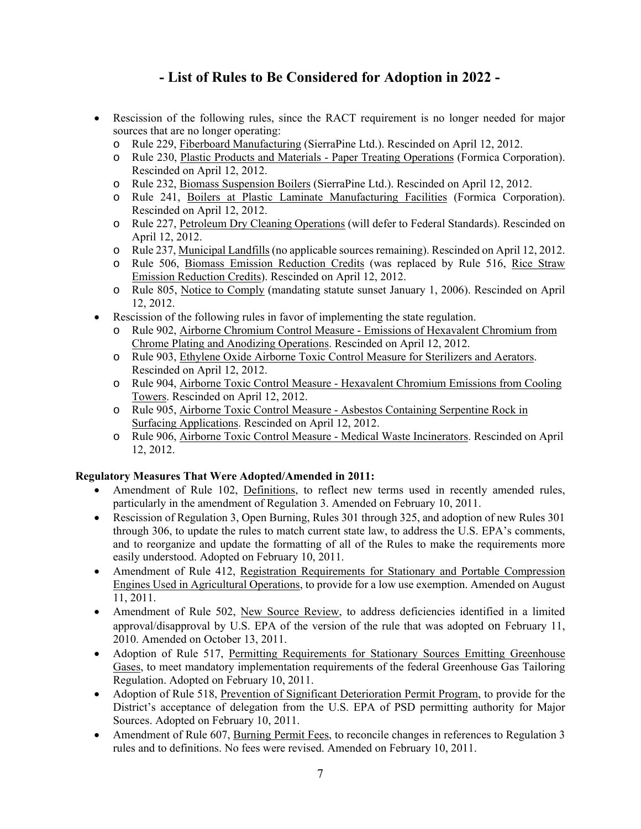- Rescission of the following rules, since the RACT requirement is no longer needed for major sources that are no longer operating:
	- o Rule 229, Fiberboard Manufacturing (SierraPine Ltd.). Rescinded on April 12, 2012.
	- o Rule 230, Plastic Products and Materials Paper Treating Operations (Formica Corporation). Rescinded on April 12, 2012.
	- o Rule 232, Biomass Suspension Boilers (SierraPine Ltd.). Rescinded on April 12, 2012.
	- o Rule 241, Boilers at Plastic Laminate Manufacturing Facilities (Formica Corporation). Rescinded on April 12, 2012.
	- o Rule 227, Petroleum Dry Cleaning Operations (will defer to Federal Standards). Rescinded on April 12, 2012.
	- o Rule 237, Municipal Landfills (no applicable sources remaining). Rescinded on April 12, 2012.
	- o Rule 506, Biomass Emission Reduction Credits (was replaced by Rule 516, Rice Straw Emission Reduction Credits). Rescinded on April 12, 2012.
	- o Rule 805, Notice to Comply (mandating statute sunset January 1, 2006). Rescinded on April 12, 2012.
- Rescission of the following rules in favor of implementing the state regulation.
	- o Rule 902, Airborne Chromium Control Measure Emissions of Hexavalent Chromium from Chrome Plating and Anodizing Operations. Rescinded on April 12, 2012.
	- o Rule 903, Ethylene Oxide Airborne Toxic Control Measure for Sterilizers and Aerators. Rescinded on April 12, 2012.
	- o Rule 904, Airborne Toxic Control Measure Hexavalent Chromium Emissions from Cooling Towers. Rescinded on April 12, 2012.
	- o Rule 905, Airborne Toxic Control Measure Asbestos Containing Serpentine Rock in Surfacing Applications. Rescinded on April 12, 2012.
	- o Rule 906, Airborne Toxic Control Measure Medical Waste Incinerators. Rescinded on April 12, 2012.

### **Regulatory Measures That Were Adopted/Amended in 2011:**

- Amendment of Rule 102, Definitions, to reflect new terms used in recently amended rules, particularly in the amendment of Regulation 3. Amended on February 10, 2011.
- Rescission of Regulation 3, Open Burning, Rules 301 through 325, and adoption of new Rules 301 through 306, to update the rules to match current state law, to address the U.S. EPA's comments, and to reorganize and update the formatting of all of the Rules to make the requirements more easily understood. Adopted on February 10, 2011.
- Amendment of Rule 412, Registration Requirements for Stationary and Portable Compression Engines Used in Agricultural Operations, to provide for a low use exemption. Amended on August 11, 2011.
- Amendment of Rule 502, New Source Review, to address deficiencies identified in a limited approval/disapproval by U.S. EPA of the version of the rule that was adopted on February 11, 2010. Amended on October 13, 2011.
- Adoption of Rule 517, Permitting Requirements for Stationary Sources Emitting Greenhouse Gases, to meet mandatory implementation requirements of the federal Greenhouse Gas Tailoring Regulation. Adopted on February 10, 2011.
- Adoption of Rule 518, Prevention of Significant Deterioration Permit Program, to provide for the District's acceptance of delegation from the U.S. EPA of PSD permitting authority for Major Sources. Adopted on February 10, 2011.
- Amendment of Rule 607, Burning Permit Fees, to reconcile changes in references to Regulation 3 rules and to definitions. No fees were revised. Amended on February 10, 2011.